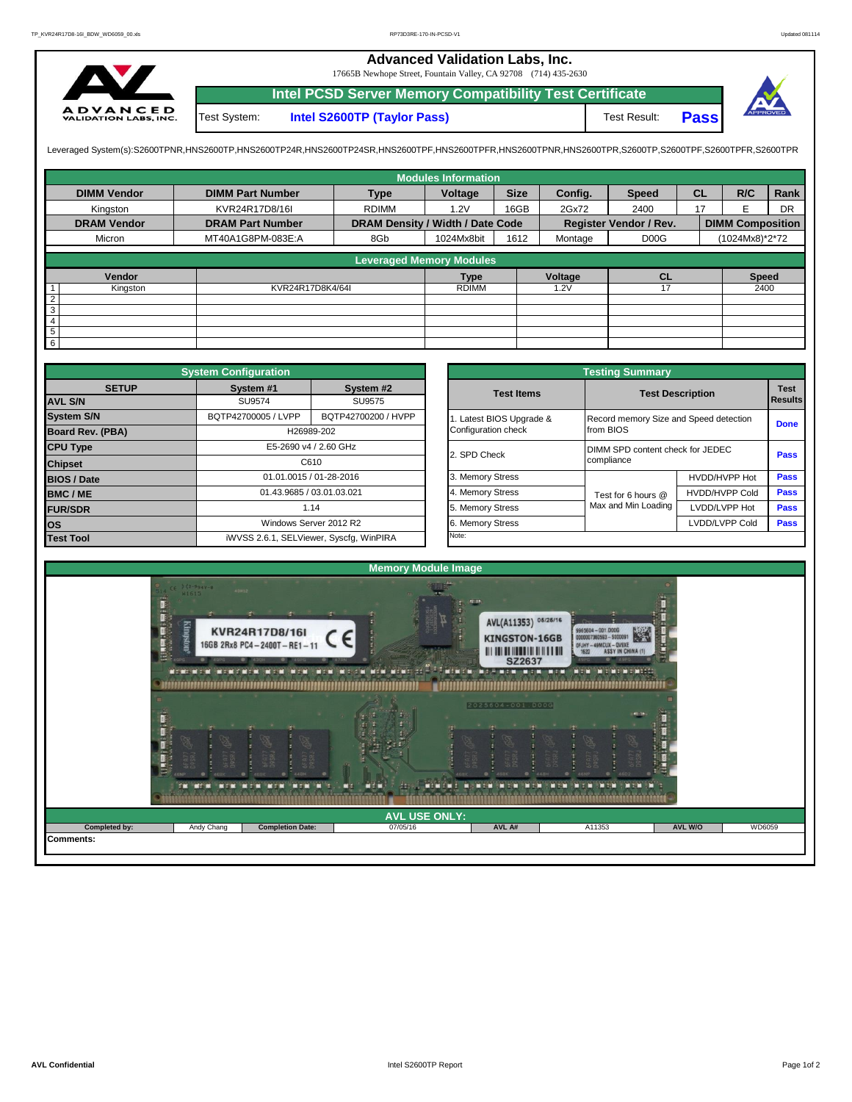## **Advanced Validation Labs, Inc.**

17665B Newhope Street, Fountain Valley, CA 92708 (714) 435-2630



**Intel PCSD Server Memory Compatibility Test Certificate Pass** Test System: **Intel S2600TP (Taylor Pass)** Test Result:



Leveraged System(s):S2600TPNR,HNS2600TP,HNS2600TP24R,HNS2600TP24SR,HNS2600TPF,HNS2600TPFR,HNS2600TPNR,HNS2600TPR,S2600TP,S2600TPF,S2600TPFR,S2600TPR

|                    |                         |                                  | <b>Modules Information</b> |             |         |                               |           |                         |           |
|--------------------|-------------------------|----------------------------------|----------------------------|-------------|---------|-------------------------------|-----------|-------------------------|-----------|
| <b>DIMM Vendor</b> | <b>DIMM Part Number</b> | <b>Type</b>                      | Voltage                    | <b>Size</b> | Config. | <b>Speed</b>                  | <b>CL</b> | R/C                     | Rank      |
| Kinaston           | KVR24R17D8/16I          | <b>RDIMM</b>                     | 1.2V                       | 16GB        | 2Gx72   | 2400                          | 17        |                         | <b>DR</b> |
| <b>DRAM Vendor</b> | <b>DRAM Part Number</b> | DRAM Density / Width / Date Code |                            |             |         | <b>Register Vendor / Rev.</b> |           | <b>DIMM Composition</b> |           |
| Micron             | MT40A1G8PM-083E:A       | 8Gb                              | 1024Mx8bit                 | 1612        | Montage | D <sub>0</sub> <sub>G</sub>   |           | (1024Mx8)*2*72          |           |
|                    |                         | <b>Leveraged Memory Modules</b>  |                            |             |         |                               |           |                         |           |
|                    |                         |                                  |                            |             |         |                               |           |                         |           |
| Vendor             |                         |                                  | <b>Type</b>                |             | Voltage | <b>CL</b>                     |           | <b>Speed</b>            |           |
| Kingston           | KVR24R17D8K4/64I        |                                  | <b>RDIMM</b>               |             | 1.2V    |                               |           | 2400                    |           |
| $\overline{2}$     |                         |                                  |                            |             |         |                               |           |                         |           |
| $\overline{3}$     |                         |                                  |                            |             |         |                               |           |                         |           |
| 4                  |                         |                                  |                            |             |         |                               |           |                         |           |
| $\overline{5}$     |                         |                                  |                            |             |         |                               |           |                         |           |
| $6\overline{6}$    |                         |                                  |                            |             |         |                               |           |                         |           |

|                    | <b>System Configuration</b> |                                         |                                  |                                        |                         |             |
|--------------------|-----------------------------|-----------------------------------------|----------------------------------|----------------------------------------|-------------------------|-------------|
| <b>SETUP</b>       | System #1                   | System #2                               | <b>Test Items</b>                |                                        | <b>Test Description</b> | <b>Test</b> |
| <b>AVL S/N</b>     | SU9574                      | SU9575                                  |                                  |                                        |                         | Results     |
| <b>System S/N</b>  | BQTP42700005 / LVPP         | BQTP42700200 / HVPP                     | Latest BIOS Upgrade &            | Record memory Size and Speed detection |                         | <b>Done</b> |
| Board Rev. (PBA)   |                             | H26989-202                              | Configuration check              | from BIOS                              |                         |             |
| <b>CPU Type</b>    | E5-2690 v4 / 2.60 GHz       | 2. SPD Check                            | DIMM SPD content check for JEDEC | Pass                                   |                         |             |
| <b>Chipset</b>     |                             | C610                                    |                                  | compliance                             |                         |             |
| <b>BIOS / Date</b> |                             | 01.01.0015 / 01-28-2016                 | 3. Memory Stress                 |                                        | HVDD/HVPP Hot           | <b>Pass</b> |
| <b>BMC/ME</b>      |                             | 01.43.9685 / 03.01.03.021               | 4. Memory Stress                 | Test for 6 hours @                     | <b>HVDD/HVPP Cold</b>   | <b>Pass</b> |
| <b>FUR/SDR</b>     | 1.14                        |                                         | 5. Memory Stress                 | Max and Min Loading                    | LVDD/LVPP Hot           | <b>Pass</b> |
| los                |                             | Windows Server 2012 R2                  | 6. Memory Stress                 |                                        | LVDD/LVPP Cold          | Pass        |
| <b>Test Tool</b>   |                             | iWVSS 2.6.1, SELViewer, Syscfq, WinPIRA | Note:                            |                                        |                         |             |

|              | <b>System Configuration</b> |                                         |                       | <b>Testing Summary</b>                 |                       |                |
|--------------|-----------------------------|-----------------------------------------|-----------------------|----------------------------------------|-----------------------|----------------|
| <b>SETUP</b> | System #1                   | System #2                               | <b>Test Items</b>     | <b>Test Description</b>                |                       | <b>Test</b>    |
|              | SU9574                      | SU9575                                  |                       |                                        |                       | <b>Results</b> |
|              | BQTP42700005 / LVPP         | BQTP42700200 / HVPP                     | Latest BIOS Upgrade & | Record memory Size and Speed detection |                       |                |
| PBA)         |                             | H26989-202                              | Configuration check   | from BIOS                              |                       | <b>Done</b>    |
|              |                             | E5-2690 v4 / 2.60 GHz                   | 2. SPD Check          | DIMM SPD content check for JEDEC       |                       | Pass           |
|              |                             | C610                                    |                       | compliance                             |                       |                |
|              |                             | 01.01.0015 / 01-28-2016                 | 3. Memory Stress      |                                        | HVDD/HVPP Hot         | Pass           |
|              | 01.43.9685 / 03.01.03.021   |                                         | 4. Memory Stress      | Test for 6 hours @                     | <b>HVDD/HVPP Cold</b> | Pass           |
|              |                             | 1.14                                    | Max and Min Loading   | LVDD/LVPP Hot                          | Pass                  |                |
|              |                             | Windows Server 2012 R2                  | 6. Memory Stress      |                                        | LVDD/LVPP Cold        | Pass           |
|              |                             | iWVSS 2.6.1, SELViewer, Syscfq, WinPIRA | Note:                 |                                        |                       |                |

|                  |                                           |                                                                                                      | <b>Memory Module Image</b>   |                                                                                                                                                                                                                                                                                                                                           |                                                                                                                                                         |         |        |
|------------------|-------------------------------------------|------------------------------------------------------------------------------------------------------|------------------------------|-------------------------------------------------------------------------------------------------------------------------------------------------------------------------------------------------------------------------------------------------------------------------------------------------------------------------------------------|---------------------------------------------------------------------------------------------------------------------------------------------------------|---------|--------|
|                  | $742 - 9949 - 8$<br>H1615<br><b>Kiing</b> | 40H12<br>KVR24R17D8/16I<br>16GB 2Rx8 PC4-2400T-RE1-11<br>MENCHEN MENSMEN NEM NEM NEM NE<br>થુ<br>man | r Hrist<br><b>THEFT REAL</b> | $\mathcal{H}(\mathbb{R})$<br>AVL(A11353) 05/25/16<br><b>KINGSTON-16GB</b><br><b><i><u>THE THE RESIDENCE OF THE THE RESIDENCE OF THE RESIDENCE OF THE RESIDENCE OF THE RESIDENCE OF THE RESIDENCE OF THE RESIDENCE OF THE RESIDENCE OF THE RESIDENCE OF THE RESIDENCE OF THE R</u></i></b><br>SZ2637<br><b>INDERED</b><br>2025604-001.D00G | 9965604 - 001.0006<br>0000007360593 - 5000091<br>0FJHY - 49MCUX - QV9XE<br>1620 - ASSY IN CHINA (1)<br>NIN NINININIST<br><b>PERSONAL</b><br><b>PESS</b> |         |        |
|                  |                                           |                                                                                                      |                              |                                                                                                                                                                                                                                                                                                                                           |                                                                                                                                                         |         |        |
|                  |                                           |                                                                                                      | <b>AVL USE ONLY:</b>         |                                                                                                                                                                                                                                                                                                                                           |                                                                                                                                                         |         |        |
| Completed by:    | Andy Chang                                | <b>Completion Date:</b>                                                                              | 07/05/16                     | AVL A#                                                                                                                                                                                                                                                                                                                                    | A11353                                                                                                                                                  | AVL W/O | WD6059 |
| <b>Comments:</b> |                                           |                                                                                                      |                              |                                                                                                                                                                                                                                                                                                                                           |                                                                                                                                                         |         |        |